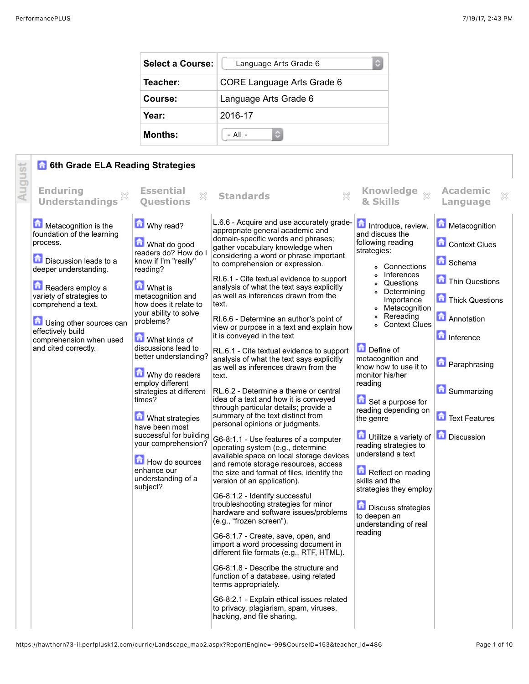| <b>Select a Course:</b> | Language Arts Grade 6<br>¢ |
|-------------------------|----------------------------|
| Teacher:                | CORE Language Arts Grade 6 |
| Course:                 | Language Arts Grade 6      |
| Year:                   | 2016-17                    |
| <b>Months:</b>          | $-$ All $-$                |

## **6 6th Grade ELA Reading Strategies**

|        | <b>6th Grade ELA Reading Strategies</b>                                                                                                                                                                                                                                                          |                                                                                                                                                                                                                                                                                                                                                                                                                                                                                                                                |                                                                                                                                                                                                                                                                                                                                                                                                                                                                                                                                                                                                                                                                                                                                                                                                                                                                                                                                                                                                                                                                                                                                                                                                                                                                                                                                                                                                                                                                                                                                                                                                             |                                                                                                                                                                                                                                                                                                                                                                                                                                                                                                                                                                                                        |                                                                                                                                                                                                                 |
|--------|--------------------------------------------------------------------------------------------------------------------------------------------------------------------------------------------------------------------------------------------------------------------------------------------------|--------------------------------------------------------------------------------------------------------------------------------------------------------------------------------------------------------------------------------------------------------------------------------------------------------------------------------------------------------------------------------------------------------------------------------------------------------------------------------------------------------------------------------|-------------------------------------------------------------------------------------------------------------------------------------------------------------------------------------------------------------------------------------------------------------------------------------------------------------------------------------------------------------------------------------------------------------------------------------------------------------------------------------------------------------------------------------------------------------------------------------------------------------------------------------------------------------------------------------------------------------------------------------------------------------------------------------------------------------------------------------------------------------------------------------------------------------------------------------------------------------------------------------------------------------------------------------------------------------------------------------------------------------------------------------------------------------------------------------------------------------------------------------------------------------------------------------------------------------------------------------------------------------------------------------------------------------------------------------------------------------------------------------------------------------------------------------------------------------------------------------------------------------|--------------------------------------------------------------------------------------------------------------------------------------------------------------------------------------------------------------------------------------------------------------------------------------------------------------------------------------------------------------------------------------------------------------------------------------------------------------------------------------------------------------------------------------------------------------------------------------------------------|-----------------------------------------------------------------------------------------------------------------------------------------------------------------------------------------------------------------|
| August | <b>Enduring</b><br>X<br><b>Understandings</b>                                                                                                                                                                                                                                                    | <b>Essential</b><br>53<br><b>Ouestions</b>                                                                                                                                                                                                                                                                                                                                                                                                                                                                                     | X<br><b>Standards</b>                                                                                                                                                                                                                                                                                                                                                                                                                                                                                                                                                                                                                                                                                                                                                                                                                                                                                                                                                                                                                                                                                                                                                                                                                                                                                                                                                                                                                                                                                                                                                                                       | Knowledge xx<br>& Skills                                                                                                                                                                                                                                                                                                                                                                                                                                                                                                                                                                               | <b>Academic</b><br>×<br>Language                                                                                                                                                                                |
|        | Metacognition is the<br>foundation of the learning<br>process.<br><b>Discussion leads to a</b><br>deeper understanding.<br>Readers employ a<br>variety of strategies to<br>comprehend a text.<br>Using other sources can<br>effectively build<br>comprehension when used<br>and cited correctly. | Why read?<br><b>M</b> What do good<br>readers do? How do I<br>know if I'm "really"<br>reading?<br><b>M</b> What is<br>metacognition and<br>how does it relate to<br>your ability to solve<br>problems?<br><b>M</b> What kinds of<br>discussions lead to<br>better understanding?<br>Why do readers<br>employ different<br>strategies at different<br>times?<br><b>M</b> What strategies<br>have been most<br>successful for building<br>your comprehension?<br>How do sources<br>enhance our<br>understanding of a<br>subject? | L.6.6 - Acquire and use accurately grade-<br>appropriate general academic and<br>domain-specific words and phrases;<br>gather vocabulary knowledge when<br>considering a word or phrase important<br>to comprehension or expression.<br>RI.6.1 - Cite textual evidence to support<br>analysis of what the text says explicitly<br>as well as inferences drawn from the<br>text.<br>RI.6.6 - Determine an author's point of<br>view or purpose in a text and explain how<br>it is conveyed in the text<br>RL.6.1 - Cite textual evidence to support<br>analysis of what the text says explicitly<br>as well as inferences drawn from the<br>text.<br>RL.6.2 - Determine a theme or central<br>idea of a text and how it is conveyed<br>through particular details; provide a<br>summary of the text distinct from<br>personal opinions or judgments.<br>G6-8:1.1 - Use features of a computer<br>operating system (e.g., determine<br>available space on local storage devices<br>and remote storage resources, access<br>the size and format of files, identify the<br>version of an application).<br>G6-8:1.2 - Identify successful<br>troubleshooting strategies for minor<br>hardware and software issues/problems<br>(e.g., "frozen screen").<br>G6-8:1.7 - Create, save, open, and<br>import a word processing document in<br>different file formats (e.g., RTF, HTML).<br>G6-8:1.8 - Describe the structure and<br>function of a database, using related<br>terms appropriately.<br>G6-8:2.1 - Explain ethical issues related<br>to privacy, plagiarism, spam, viruses,<br>hacking, and file sharing. | Introduce, review,<br>and discuss the<br>following reading<br>strategies:<br>• Connections<br>Inferences<br>Questions<br>• Determining<br>Importance<br>• Metacognition<br>Rereading<br><b>Context Clues</b><br>$\bullet$<br>Define of<br>metacognition and<br>know how to use it to<br>monitor his/her<br>reading<br>Set a purpose for<br>reading depending on<br>the genre<br>Utilitze a variety of<br>reading strategies to<br>understand a text<br>Reflect on reading<br>skills and the<br>strategies they employ<br><b>Discuss strategies</b><br>to deepen an<br>understanding of real<br>reading | Metacognition<br><b>Context Clues</b><br><b>n</b> Schema<br>Thin Questions<br>Thick Questions<br><b>Annotation</b><br>Inference<br><b>D</b> Paraphrasing<br><b>A</b> Summarizing<br>Text Features<br>Discussion |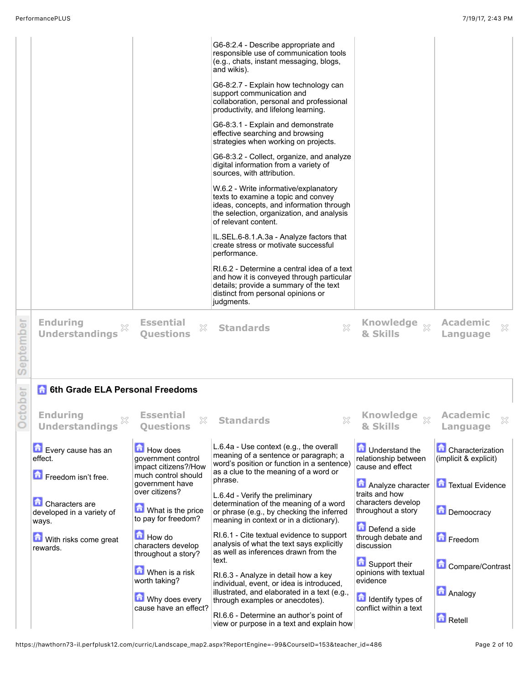|            | <b>Enduring</b>                                             | <b>Essential</b>                                              | RI.6.2 - Determine a central idea of a text<br>and how it is conveyed through particular<br>details; provide a summary of the text<br>distinct from personal opinions or<br>judgments. |                                                                     |                                                  |
|------------|-------------------------------------------------------------|---------------------------------------------------------------|----------------------------------------------------------------------------------------------------------------------------------------------------------------------------------------|---------------------------------------------------------------------|--------------------------------------------------|
| eptember   | X<br><b>Understandings</b>                                  | X<br><b>Ouestions</b>                                         | X<br><b>Standards</b>                                                                                                                                                                  | Knowledge x<br>& Skills                                             | <b>Academic</b><br>×<br>Language                 |
|            |                                                             |                                                               |                                                                                                                                                                                        |                                                                     |                                                  |
|            | <b>6th Grade ELA Personal Freedoms</b>                      |                                                               |                                                                                                                                                                                        |                                                                     |                                                  |
| S<br>tober | <b>Enduring</b><br><b>Understandings</b>                    | <b>Essential</b><br>X<br><b>Questions</b>                     | <b>Standards</b>                                                                                                                                                                       | Knowledge $\frac{1}{\mathbb{X}}$<br>& Skills                        | <b>Academic</b><br>Language                      |
|            | Every cause has an<br>effect.                               | <b>How does</b><br>government control<br>impact citizens?/How | L.6.4a - Use context (e.g., the overall<br>meaning of a sentence or paragraph; a<br>word's position or function in a sentence)<br>as a clue to the meaning of a word or                | <b>n</b> Understand the<br>relationship between<br>cause and effect | <b>Characterization</b><br>(implicit & explicit) |
|            | Freedom isn't free.                                         | much control should<br>government have<br>over citizens?      | phrase.                                                                                                                                                                                | Analyze character                                                   | Textual Evidence                                 |
|            | <b>Characters</b> are<br>developed in a variety of<br>ways. | What is the price<br>to pay for freedom?                      | L.6.4d - Verify the preliminary<br>determination of the meaning of a word<br>or phrase (e.g., by checking the inferred<br>meaning in context or in a dictionary).                      | traits and how<br>characters develop<br>throughout a story          | Demoocracy                                       |
|            | With risks come great<br>rewards.                           | How do<br>characters develop<br>throughout a story?           | RI.6.1 - Cite textual evidence to support<br>analysis of what the text says explicitly<br>as well as inferences drawn from the                                                         | Defend a side<br>through debate and<br>discussion                   | Freedom                                          |
|            |                                                             | When is a risk                                                | text.<br>RI.6.3 - Analyze in detail how a key                                                                                                                                          | Support their<br>opinions with textual                              | Compare/Contrast                                 |
|            |                                                             | worth taking?<br>Why does every<br>cause have an effect?      | individual, event, or idea is introduced,<br>illustrated, and elaborated in a text (e.g.,<br>through examples or anecdotes).                                                           | evidence<br>Identify types of<br>conflict within a text             | <b>Analogy</b>                                   |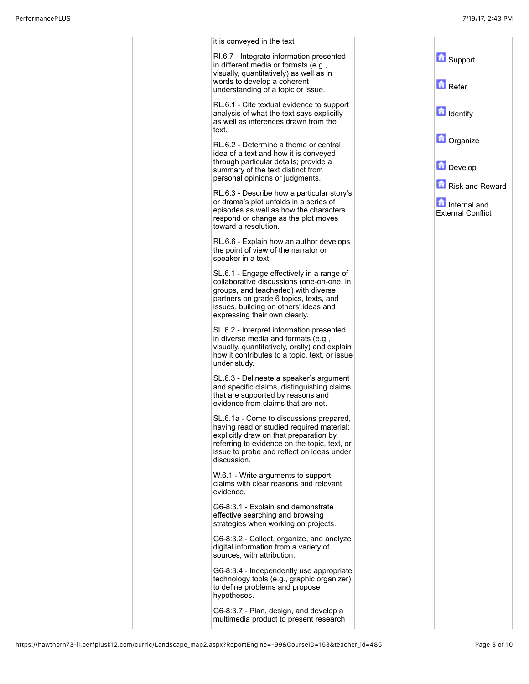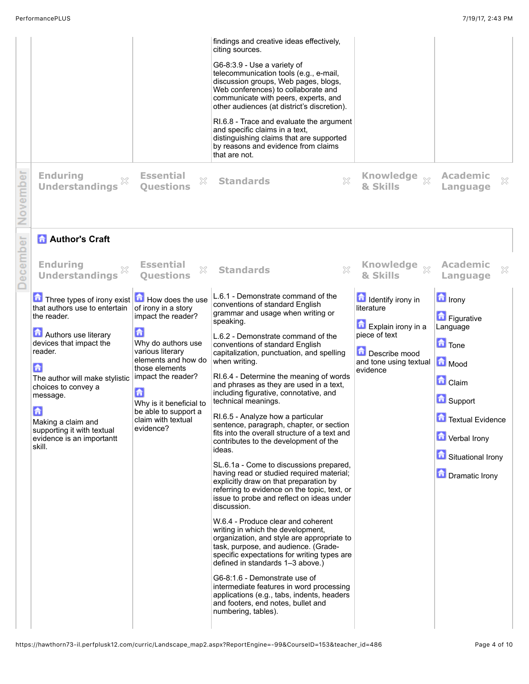| ember    | <b>Enduring</b><br><b>Understandings</b>                                                                                                                                | <b>Essential</b><br>X<br><b>Ouestions</b>                                                                                         | findings and creative ideas effectively,<br>citing sources.<br>G6-8:3.9 - Use a variety of<br>telecommunication tools (e.g., e-mail,<br>discussion groups, Web pages, blogs,<br>Web conferences) to collaborate and<br>communicate with peers, experts, and<br>other audiences (at district's discretion).<br>RI.6.8 - Trace and evaluate the argument<br>and specific claims in a text,<br>distinguishing claims that are supported<br>by reasons and evidence from claims<br>that are not.<br>X<br><b>Standards</b> | Knowledge<br>$\chi$<br>& Skills                                                                                                             | <b>Academic</b><br>X<br>Language                                                                                     |
|----------|-------------------------------------------------------------------------------------------------------------------------------------------------------------------------|-----------------------------------------------------------------------------------------------------------------------------------|-----------------------------------------------------------------------------------------------------------------------------------------------------------------------------------------------------------------------------------------------------------------------------------------------------------------------------------------------------------------------------------------------------------------------------------------------------------------------------------------------------------------------|---------------------------------------------------------------------------------------------------------------------------------------------|----------------------------------------------------------------------------------------------------------------------|
| December | <b>Author's Craft</b>                                                                                                                                                   |                                                                                                                                   |                                                                                                                                                                                                                                                                                                                                                                                                                                                                                                                       |                                                                                                                                             |                                                                                                                      |
|          | <b>Enduring</b><br><b>Understandings</b>                                                                                                                                | <b>Essential</b><br>X<br><b>Ouestions</b>                                                                                         | X<br><b>Standards</b>                                                                                                                                                                                                                                                                                                                                                                                                                                                                                                 | <b>Knowledge</b><br>$\chi$<br>& Skills                                                                                                      | <b>Academic</b><br>×<br>Language                                                                                     |
|          | Three types of irony exist <b>D</b> How does the use<br>that authors use to entertain<br>the reader.<br>Authors use literary<br>devices that impact the<br>reader.<br>Ы | of irony in a story<br>impact the reader?<br>合<br>Why do authors use<br>various literary<br>elements and how do<br>those elements | L.6.1 - Demonstrate command of the<br>conventions of standard English<br>grammar and usage when writing or<br>speaking.<br>L.6.2 - Demonstrate command of the<br>conventions of standard English<br>capitalization, punctuation, and spelling<br>when writing.                                                                                                                                                                                                                                                        | <b>Identify irony in</b><br>literature<br><b>Explain irony in a</b><br>piece of text<br>Describe mood<br>and tone using textual<br>evidence | <b>h</b> Irony<br><b>Figurative</b><br>Language<br><b>n</b> Tone<br>Mood                                             |
|          | The author will make stylistic<br>choices to convey a<br>message.                                                                                                       | impact the reader?<br>合                                                                                                           | RI.6.4 - Determine the meaning of words<br>and phrases as they are used in a text,<br>including figurative, connotative, and                                                                                                                                                                                                                                                                                                                                                                                          |                                                                                                                                             | <b>Claim</b>                                                                                                         |
|          | £<br>Making a claim and<br>supporting it with textual<br>evidence is an importantt<br>skill.                                                                            | Why is it beneficial to<br>be able to support a<br>claim with textual<br>evidence?                                                | technical meanings.<br>RI.6.5 - Analyze how a particular<br>sentence, paragraph, chapter, or section<br>fits into the overall structure of a text and<br>contributes to the development of the<br>ideas.<br>SL.6.1a - Come to discussions prepared,<br>having read or studied required material;<br>explicitly draw on that preparation by                                                                                                                                                                            |                                                                                                                                             | Support<br><b>T</b> Textual Evidence<br><b>T</b> Verbal Irony<br><b>Contract Situational Irony</b><br>Dramatic Irony |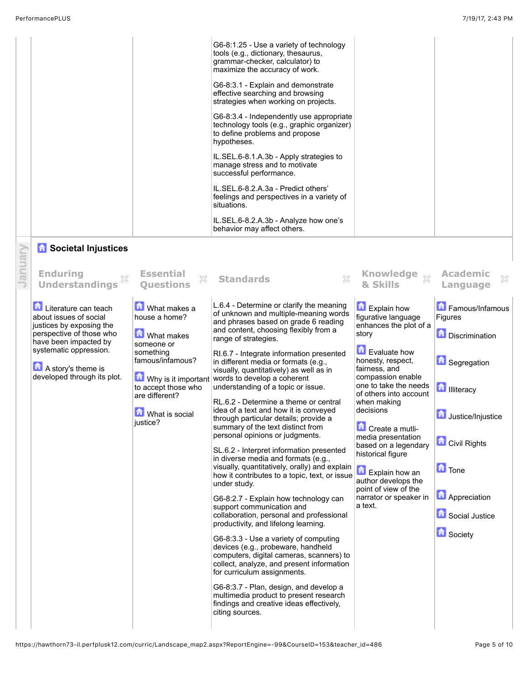|                                                                                                                                                                                                                |                                                                                                                                                                            | G6-8:1.25 - Use a variety of technology<br>tools (e.g., dictionary, thesaurus,<br>grammar-checker, calculator) to<br>maximize the accuracy of work.<br>G6-8:3.1 - Explain and demonstrate<br>effective searching and browsing<br>strategies when working on projects.<br>G6-8:3.4 - Independently use appropriate<br>technology tools (e.g., graphic organizer)<br>to define problems and propose<br>hypotheses.<br>IL.SEL.6-8.1.A.3b - Apply strategies to<br>manage stress and to motivate<br>successful performance.<br>IL.SEL.6-8.2.A.3a - Predict others'<br>feelings and perspectives in a variety of<br>situations.<br>IL.SEL.6-8.2.A.3b - Analyze how one's<br>behavior may affect others.                                                                                                                                                                                                                                                                                                                                                                                                                                                                                                                                                                                                                                                       |                                                                                                                                                                                                                                                                                                                                                                                                                             |                                                                                                                                                                                                                                    |
|----------------------------------------------------------------------------------------------------------------------------------------------------------------------------------------------------------------|----------------------------------------------------------------------------------------------------------------------------------------------------------------------------|----------------------------------------------------------------------------------------------------------------------------------------------------------------------------------------------------------------------------------------------------------------------------------------------------------------------------------------------------------------------------------------------------------------------------------------------------------------------------------------------------------------------------------------------------------------------------------------------------------------------------------------------------------------------------------------------------------------------------------------------------------------------------------------------------------------------------------------------------------------------------------------------------------------------------------------------------------------------------------------------------------------------------------------------------------------------------------------------------------------------------------------------------------------------------------------------------------------------------------------------------------------------------------------------------------------------------------------------------------|-----------------------------------------------------------------------------------------------------------------------------------------------------------------------------------------------------------------------------------------------------------------------------------------------------------------------------------------------------------------------------------------------------------------------------|------------------------------------------------------------------------------------------------------------------------------------------------------------------------------------------------------------------------------------|
| <b>n</b> Societal Injustices<br><b>Enduring</b><br><b>Understandings</b>                                                                                                                                       | <b>Essential</b><br>X<br><b>Questions</b>                                                                                                                                  | X<br><b>Standards</b>                                                                                                                                                                                                                                                                                                                                                                                                                                                                                                                                                                                                                                                                                                                                                                                                                                                                                                                                                                                                                                                                                                                                                                                                                                                                                                                                    | Knowledge xx<br>& Skills                                                                                                                                                                                                                                                                                                                                                                                                    | <b>Academic</b><br>X<br>Language                                                                                                                                                                                                   |
| Literature can teach<br>about issues of social<br>justices by exposing the<br>perspective of those who<br>have been impacted by<br>systematic oppression.<br>A story's theme is<br>developed through its plot. | What makes a<br>house a home?<br><b>M</b> What makes<br>someone or<br>something<br>famous/infamous?<br>to accept those who<br>are different?<br>What is social<br>justice? | L.6.4 - Determine or clarify the meaning<br>of unknown and multiple-meaning words<br>and phrases based on grade 6 reading<br>and content, choosing flexibly from a<br>range of strategies.<br>RI.6.7 - Integrate information presented<br>in different media or formats (e.g.,<br>visually, quantitatively) as well as in<br>$\bullet$ Why is it important words to develop a coherent<br>understanding of a topic or issue.<br>RL.6.2 - Determine a theme or central<br>idea of a text and how it is conveyed<br>through particular details; provide a<br>summary of the text distinct from<br>personal opinions or judgments.<br>SL.6.2 - Interpret information presented<br>in diverse media and formats (e.g.,<br>visually, quantitatively, orally) and explain<br>how it contributes to a topic, text, or issue<br>under study.<br>G6-8:2.7 - Explain how technology can<br>support communication and<br>collaboration, personal and professional<br>productivity, and lifelong learning.<br>G6-8:3.3 - Use a variety of computing<br>devices (e.g., probeware, handheld<br>computers, digital cameras, scanners) to<br>collect, analyze, and present information<br>for curriculum assignments.<br>G6-8:3.7 - Plan, design, and develop a<br>multimedia product to present research<br>findings and creative ideas effectively,<br>citing sources. | Explain how<br>figurative language<br>enhances the plot of a<br>story<br>Evaluate how<br>honesty, respect,<br>fairness, and<br>compassion enable<br>one to take the needs<br>of others into account<br>when making<br>decisions<br>Create a mutli-<br>media presentation<br>based on a legendary<br>historical figure<br>Explain how an<br>author develops the<br>point of view of the<br>narrator or speaker in<br>a text. | Famous/Infamous<br>Figures<br><b>Discrimination</b><br><b>G</b> Segregation<br><b>D</b> Illiteracy<br>Justice/Injustice<br><b>Civil Rights</b><br>$\blacksquare$ Tone<br><b>Appreciation</b><br>Social Justice<br><b>D</b> Society |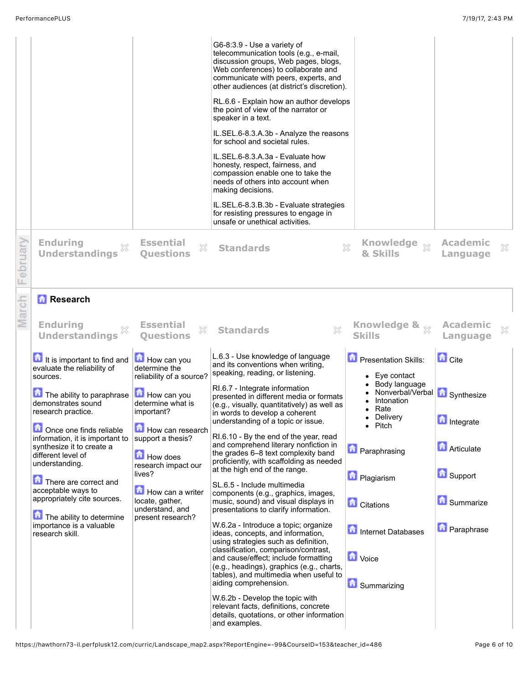|             |                                                                                                                                                                                                                                                                                                                                                                                                                                             |                                                                                                                                                                                                                                                                                 | G6-8:3.9 - Use a variety of<br>telecommunication tools (e.g., e-mail,<br>discussion groups, Web pages, blogs,<br>Web conferences) to collaborate and<br>communicate with peers, experts, and<br>other audiences (at district's discretion).<br>RL.6.6 - Explain how an author develops<br>the point of view of the narrator or<br>speaker in a text.<br>IL.SEL.6-8.3.A.3b - Analyze the reasons<br>for school and societal rules.<br>IL.SEL.6-8.3.A.3a - Evaluate how<br>honesty, respect, fairness, and<br>compassion enable one to take the<br>needs of others into account when<br>making decisions.<br>IL.SEL.6-8.3.B.3b - Evaluate strategies<br>for resisting pressures to engage in<br>unsafe or unethical activities.                                                                                                                                                                                                                                                                                                                                                                                                               |                                                                                                                                                                                                                                                                                                                 |                                                                                                                  |   |
|-------------|---------------------------------------------------------------------------------------------------------------------------------------------------------------------------------------------------------------------------------------------------------------------------------------------------------------------------------------------------------------------------------------------------------------------------------------------|---------------------------------------------------------------------------------------------------------------------------------------------------------------------------------------------------------------------------------------------------------------------------------|---------------------------------------------------------------------------------------------------------------------------------------------------------------------------------------------------------------------------------------------------------------------------------------------------------------------------------------------------------------------------------------------------------------------------------------------------------------------------------------------------------------------------------------------------------------------------------------------------------------------------------------------------------------------------------------------------------------------------------------------------------------------------------------------------------------------------------------------------------------------------------------------------------------------------------------------------------------------------------------------------------------------------------------------------------------------------------------------------------------------------------------------|-----------------------------------------------------------------------------------------------------------------------------------------------------------------------------------------------------------------------------------------------------------------------------------------------------------------|------------------------------------------------------------------------------------------------------------------|---|
| oruary<br>Φ | <b>Enduring</b><br><b>Understandings</b>                                                                                                                                                                                                                                                                                                                                                                                                    | <b>Essential</b><br>×<br><b>Ouestions</b>                                                                                                                                                                                                                                       | <b>Standards</b>                                                                                                                                                                                                                                                                                                                                                                                                                                                                                                                                                                                                                                                                                                                                                                                                                                                                                                                                                                                                                                                                                                                            | Knowledge xx<br>$\chi$<br>& Skills                                                                                                                                                                                                                                                                              | <b>Academic</b><br>Language                                                                                      | X |
| arch        | <b>Research</b><br><b>Enduring</b><br><b>Understandings</b>                                                                                                                                                                                                                                                                                                                                                                                 | <b>Essential</b><br>X<br><b>Ouestions</b>                                                                                                                                                                                                                                       | X<br><b>Standards</b>                                                                                                                                                                                                                                                                                                                                                                                                                                                                                                                                                                                                                                                                                                                                                                                                                                                                                                                                                                                                                                                                                                                       | Knowledge & x<br><b>Skills</b>                                                                                                                                                                                                                                                                                  | <b>Academic</b><br>Language                                                                                      | X |
|             | It is important to find and<br>evaluate the reliability of<br>sources.<br>The ability to paraphrase<br>demonstrates sound<br>research practice.<br>Once one finds reliable<br>information, it is important to<br>synthesize it to create a<br>different level of<br>understanding.<br>There are correct and<br>acceptable ways to<br>appropriately cite sources.<br>The ability to determine<br>importance is a valuable<br>research skill. | How can you<br>determine the<br>reliability of a source?<br>How can you<br>determine what is<br>important?<br>How can research<br>support a thesis?<br>How does<br>research impact our<br>lives?<br>How can a writer<br>locate, gather,<br>understand, and<br>present research? | L.6.3 - Use knowledge of language<br>and its conventions when writing,<br>speaking, reading, or listening.<br>RI.6.7 - Integrate information<br>presented in different media or formats<br>(e.g., visually, quantitatively) as well as<br>in words to develop a coherent<br>understanding of a topic or issue.<br>RI.6.10 - By the end of the year, read<br>and comprehend literary nonfiction in<br>the grades 6-8 text complexity band<br>proficiently, with scaffolding as needed<br>at the high end of the range.<br>SL.6.5 - Include multimedia<br>components (e.g., graphics, images,<br>music, sound) and visual displays in<br>presentations to clarify information.<br>W.6.2a - Introduce a topic; organize<br>ideas, concepts, and information,<br>using strategies such as definition,<br>classification, comparison/contrast,<br>and cause/effect; include formatting<br>(e.g., headings), graphics (e.g., charts,<br>tables), and multimedia when useful to<br>aiding comprehension.<br>W.6.2b - Develop the topic with<br>relevant facts, definitions, concrete<br>details, quotations, or other information<br>and examples. | <b>D</b> Presentation Skills:<br>$\bullet$ Eye contact<br>Body language<br>Nonverbal/Verbal   Synthesize<br>Intonation<br>Rate<br>Delivery<br>$\bullet$<br>$\bullet$ Pitch<br><b>D</b> Paraphrasing<br><b>D</b> Plagiarism<br><b>C</b> itations<br>Internet Databases<br><b>D</b> Voice<br><b>G</b> Summarizing | <b>D</b> Cite<br><b>n</b> Integrate<br><b>Articulate</b><br>Support<br><b>B</b> Summarize<br><b>D</b> Paraphrase |   |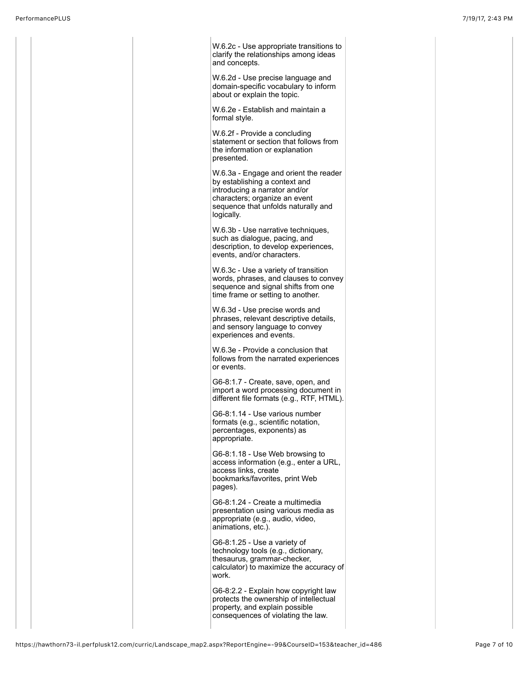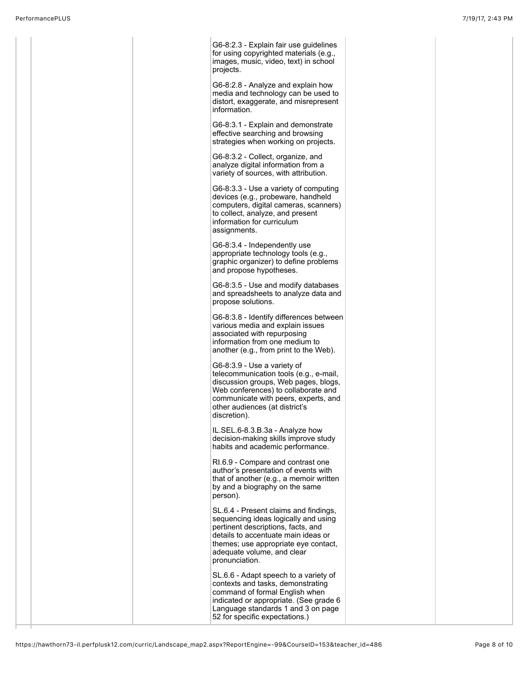|  | G6-8:2.3 - Explain fair use guidelines<br>for using copyrighted materials (e.g.,<br>images, music, video, text) in school<br>projects.                                                                                                             |  |  |
|--|----------------------------------------------------------------------------------------------------------------------------------------------------------------------------------------------------------------------------------------------------|--|--|
|  | G6-8:2.8 - Analyze and explain how<br>media and technology can be used to<br>distort, exaggerate, and misrepresent<br>information.                                                                                                                 |  |  |
|  | G6-8:3.1 - Explain and demonstrate<br>effective searching and browsing<br>strategies when working on projects.                                                                                                                                     |  |  |
|  | G6-8:3.2 - Collect, organize, and<br>analyze digital information from a<br>variety of sources, with attribution.                                                                                                                                   |  |  |
|  | G6-8:3.3 - Use a variety of computing<br>devices (e.g., probeware, handheld<br>computers, digital cameras, scanners)<br>to collect, analyze, and present<br>information for curriculum<br>assignments.                                             |  |  |
|  | G6-8:3.4 - Independently use<br>appropriate technology tools (e.g.,<br>graphic organizer) to define problems<br>and propose hypotheses.                                                                                                            |  |  |
|  | G6-8:3.5 - Use and modify databases<br>and spreadsheets to analyze data and<br>propose solutions.                                                                                                                                                  |  |  |
|  | G6-8:3.8 - Identify differences between<br>various media and explain issues<br>associated with repurposing<br>information from one medium to<br>another (e.g., from print to the Web).                                                             |  |  |
|  | G6-8:3.9 - Use a variety of<br>telecommunication tools (e.g., e-mail,<br>discussion groups, Web pages, blogs,<br>Web conferences) to collaborate and<br>communicate with peers, experts, and<br>other audiences (at district's<br>discretion).     |  |  |
|  | IL.SEL.6-8.3.B.3a - Analyze how<br>decision-making skills improve study<br>habits and academic performance.                                                                                                                                        |  |  |
|  | RI.6.9 - Compare and contrast one<br>author's presentation of events with<br>that of another (e.g., a memoir written<br>by and a biography on the same<br>person).                                                                                 |  |  |
|  | SL.6.4 - Present claims and findings,<br>sequencing ideas logically and using<br>pertinent descriptions, facts, and<br>details to accentuate main ideas or<br>themes; use appropriate eye contact,<br>adequate volume, and clear<br>pronunciation. |  |  |
|  | SL.6.6 - Adapt speech to a variety of<br>contexts and tasks, demonstrating<br>command of formal English when<br>indicated or appropriate. (See grade 6<br>Language standards 1 and 3 on page<br>52 for specific expectations.)                     |  |  |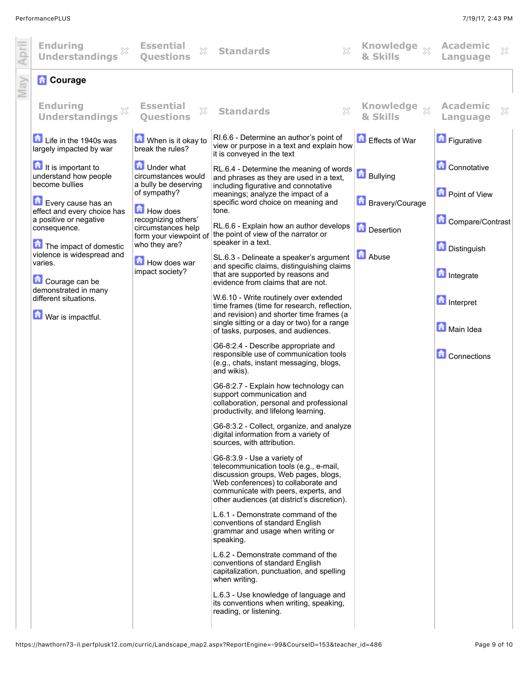| <b>Enduring</b><br><b>Understandings</b>                         | <b>Essential</b><br>X<br><b>Ouestions</b>                                            | <b>Standards</b>                                                                                                                                                                                                                            | Knowledge $\frac{1}{\mathbb{X}}$<br>& Skills | <b>Academic</b><br>$\chi$<br>Language |
|------------------------------------------------------------------|--------------------------------------------------------------------------------------|---------------------------------------------------------------------------------------------------------------------------------------------------------------------------------------------------------------------------------------------|----------------------------------------------|---------------------------------------|
| <b>R</b> Courage                                                 |                                                                                      |                                                                                                                                                                                                                                             |                                              |                                       |
| <b>Enduring</b><br><b>Understandings</b>                         | <b>Essential</b><br>X<br><b>Ouestions</b>                                            | <b>Standards</b>                                                                                                                                                                                                                            | <b>Knowledge</b><br>$\chi$<br>& Skills       | <b>Academic</b><br>X<br>Language      |
| Life in the 1940s was<br>largely impacted by war                 | When is it okay to<br>break the rules?                                               | RI.6.6 - Determine an author's point of<br>view or purpose in a text and explain how<br>it is conveyed in the text                                                                                                                          | Effects of War                               | Figurative                            |
| It is important to<br>understand how people<br>become bullies    | <b>D</b> Under what<br>circumstances would<br>a bully be deserving                   | RL.6.4 - Determine the meaning of words<br>and phrases as they are used in a text,<br>including figurative and connotative                                                                                                                  | <b>n</b><br>Bullying                         | <b>Connotative</b>                    |
| Every cause has an<br>effect and every choice has                | of sympathy?<br>How does                                                             | meanings; analyze the impact of a<br>specific word choice on meaning and<br>tone.                                                                                                                                                           | Bravery/Courage                              | Point of View                         |
| a positive or negative<br>consequence.<br>The impact of domestic | recognizing others'<br>circumstances help<br>form your viewpoint of<br>who they are? | RL.6.6 - Explain how an author develops<br>the point of view of the narrator or<br>speaker in a text.                                                                                                                                       | Desertion                                    | Compare/Contrast                      |
| violence is widespread and<br>varies.                            | How does war<br>impact society?                                                      | SL.6.3 - Delineate a speaker's argument<br>and specific claims, distinguishing claims<br>that are supported by reasons and                                                                                                                  | <b>Abuse</b>                                 | Distinguish<br><b>n</b> Integrate     |
| Courage can be<br>demonstrated in many<br>different situations.  |                                                                                      | evidence from claims that are not.<br>W.6.10 - Write routinely over extended                                                                                                                                                                |                                              | <b>n</b> Interpret                    |
| <b>D</b> War is impactful.                                       |                                                                                      | time frames (time for research, reflection,<br>and revision) and shorter time frames (a<br>single sitting or a day or two) for a range<br>of tasks, purposes, and audiences.                                                                |                                              | Main Idea                             |
|                                                                  |                                                                                      | G6-8:2.4 - Describe appropriate and<br>responsible use of communication tools<br>(e.g., chats, instant messaging, blogs,<br>and wikis).                                                                                                     |                                              | <b>Connections</b>                    |
|                                                                  |                                                                                      | G6-8:2.7 - Explain how technology can<br>support communication and<br>collaboration, personal and professional<br>productivity, and lifelong learning.                                                                                      |                                              |                                       |
|                                                                  |                                                                                      | G6-8:3.2 - Collect, organize, and analyze<br>digital information from a variety of<br>sources, with attribution.                                                                                                                            |                                              |                                       |
|                                                                  |                                                                                      | G6-8:3.9 - Use a variety of<br>telecommunication tools (e.g., e-mail,<br>discussion groups, Web pages, blogs,<br>Web conferences) to collaborate and<br>communicate with peers, experts, and<br>other audiences (at district's discretion). |                                              |                                       |
|                                                                  |                                                                                      | L.6.1 - Demonstrate command of the<br>conventions of standard English<br>grammar and usage when writing or<br>speaking.                                                                                                                     |                                              |                                       |
|                                                                  |                                                                                      | L.6.2 - Demonstrate command of the<br>conventions of standard English<br>capitalization, punctuation, and spelling<br>when writing.                                                                                                         |                                              |                                       |
|                                                                  |                                                                                      | L.6.3 - Use knowledge of language and<br>its conventions when writing, speaking,<br>reading, or listening.                                                                                                                                  |                                              |                                       |
|                                                                  |                                                                                      |                                                                                                                                                                                                                                             |                                              |                                       |